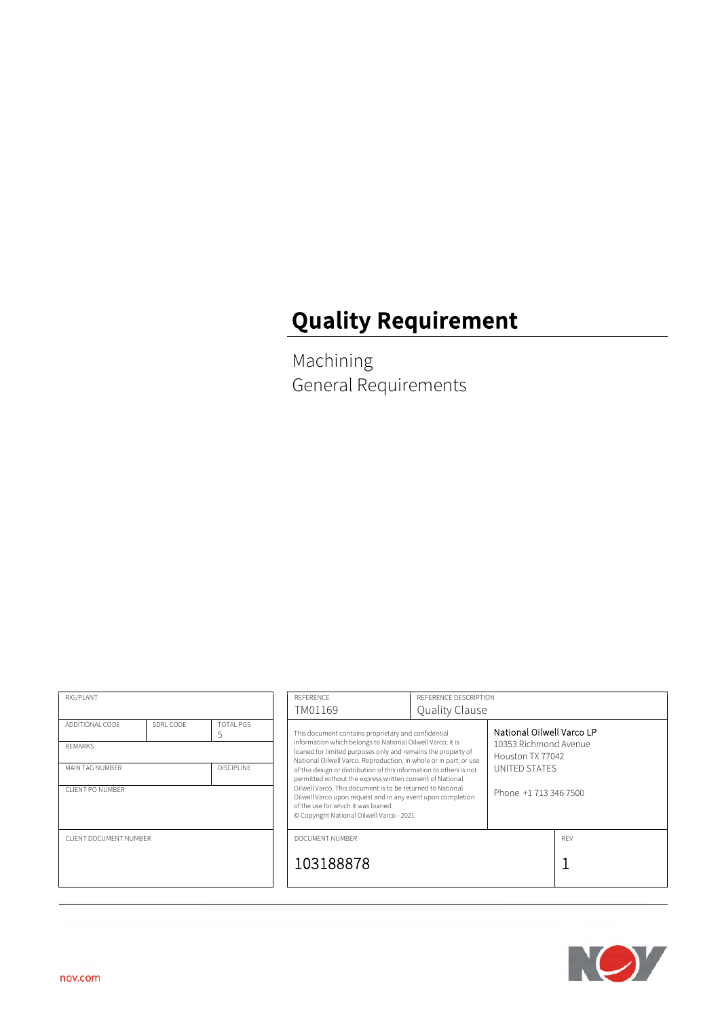# **Quality Requirement**

Machining General Requirements

| RIG/PLANT                                                                                                                           |  | REFERENCE<br>TM01169                                                                                                                                                                                                                                                                                                                                                                                                                                                                                                                                                                                        | REFERENCE DESCRIPTION<br>Quality Clause |                                                                                                                  |     |
|-------------------------------------------------------------------------------------------------------------------------------------|--|-------------------------------------------------------------------------------------------------------------------------------------------------------------------------------------------------------------------------------------------------------------------------------------------------------------------------------------------------------------------------------------------------------------------------------------------------------------------------------------------------------------------------------------------------------------------------------------------------------------|-----------------------------------------|------------------------------------------------------------------------------------------------------------------|-----|
| SDRL CODE<br>TOTAL PGS<br>ADDITIONAL CODE<br>5<br><b>REMARKS</b><br><b>DISCIPLINE</b><br>MAIN TAG NUMBER<br><b>CLIENT PO NUMBER</b> |  | This document contains proprietary and confidential<br>information which belongs to National Oilwell Varco; it is<br>loaned for limited purposes only and remains the property of<br>National Oilwell Varco. Reproduction, in whole or in part; or use<br>of this design or distribution of this information to others is not<br>permitted without the express written consent of National<br>Oilwell Varco. This document is to be returned to National<br>Oilwell Varco upon request and in any event upon completion<br>of the use for which it was loaned.<br>© Copyright National Oilwell Varco - 2021 |                                         | National Oilwell Varco LP<br>10353 Richmond Avenue<br>Houston TX 77042<br>UNITED STATES<br>Phone +1 713 346 7500 |     |
| CLIENT DOCUMENT NUMBER                                                                                                              |  | DOCUMENT NUMBER<br>103188878                                                                                                                                                                                                                                                                                                                                                                                                                                                                                                                                                                                |                                         |                                                                                                                  | RFV |

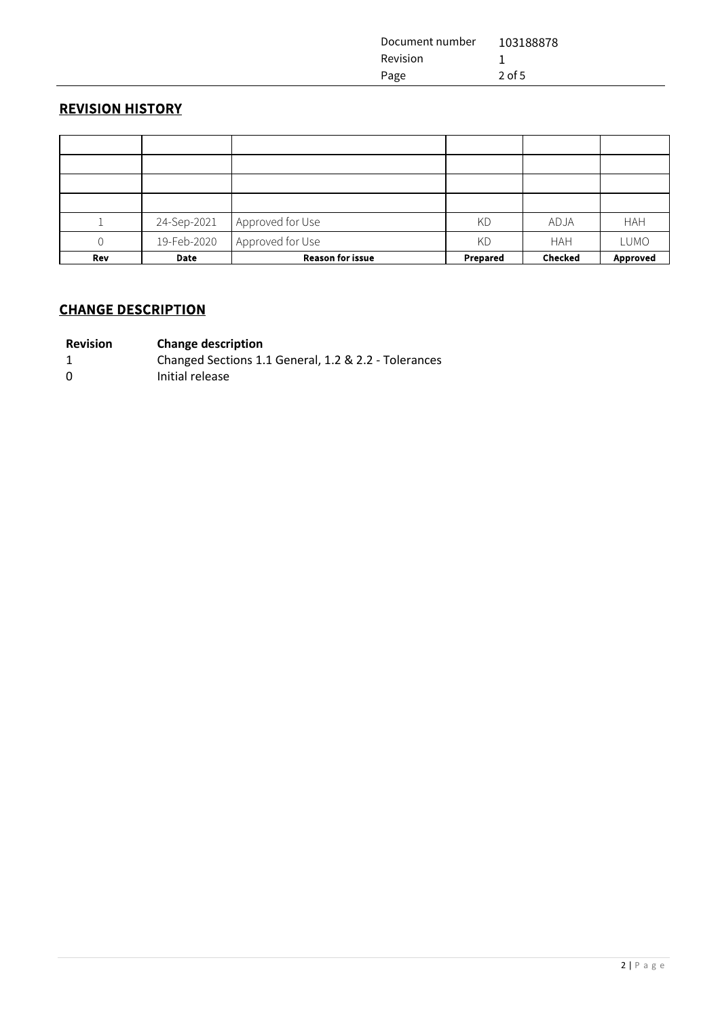| Document number | 103188878 |
|-----------------|-----------|
| Revision        |           |
| Page            | $2$ of 5  |

## **REVISION HISTORY**

|     | 24-Sep-2021 | Approved for Use        | KD       | ADJA           | <b>HAH</b> |
|-----|-------------|-------------------------|----------|----------------|------------|
|     | 19-Feb-2020 | Approved for Use        | KD       | <b>HAH</b>     | LUMO       |
| Rev | Date        | <b>Reason for issue</b> | Prepared | <b>Checked</b> | Approved   |

## **CHANGE DESCRIPTION**

#### **Revision Change description**

- 1 Changed Sections 1.1 General, 1.2 & 2.2 Tolerances
- 0 Initial release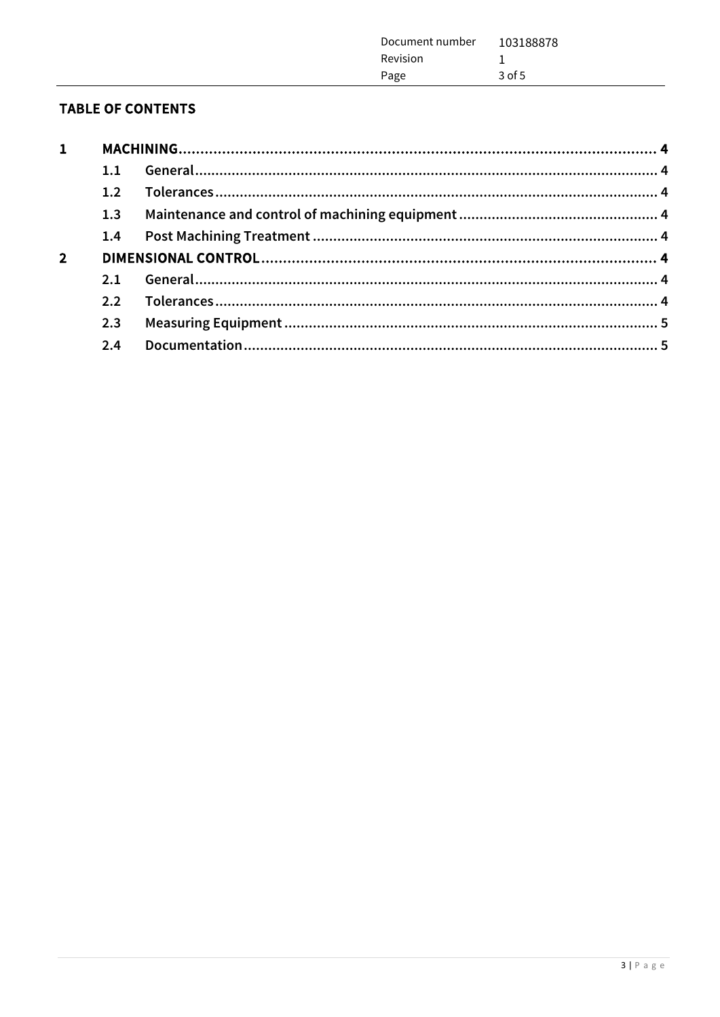| Document number | 103188878 |
|-----------------|-----------|
| Revision        |           |
| Page            | $3$ of 5  |
|                 |           |

## **TABLE OF CONTENTS**

| $\mathbf{1}$   |     |  |
|----------------|-----|--|
|                | 1.1 |  |
|                | 1.2 |  |
|                | 1.3 |  |
|                | 1.4 |  |
| $\overline{2}$ |     |  |
|                | 2.1 |  |
|                | 2.2 |  |
|                | 2.3 |  |
|                | 2.4 |  |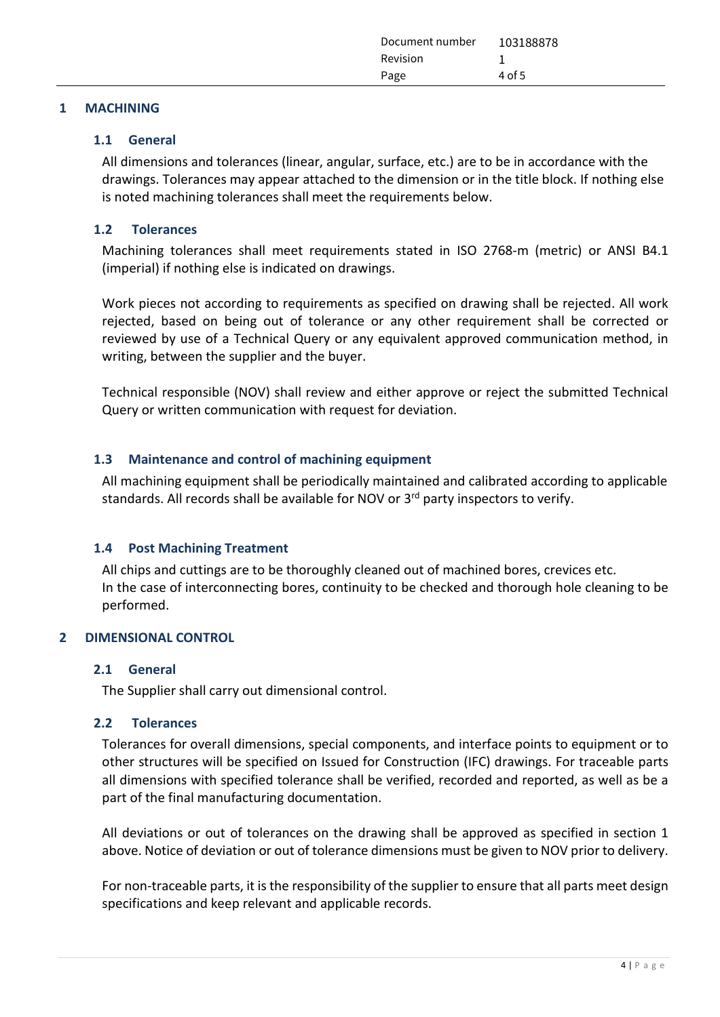| Document number 103188878<br><b>Revision</b><br>4 of 5<br>Page |  |
|----------------------------------------------------------------|--|
|----------------------------------------------------------------|--|

#### <span id="page-3-1"></span><span id="page-3-0"></span>**1 MACHINING**

## **1.1 General**

All dimensions and tolerances (linear, angular, surface, etc.) are to be in accordance with the drawings. Tolerances may appear attached to the dimension or in the title block. If nothing else is noted machining tolerances shall meet the requirements below.

## <span id="page-3-2"></span>**1.2 Tolerances**

Machining tolerances shall meet requirements stated in ISO 2768-m (metric) or ANSI B4.1 (imperial) if nothing else is indicated on drawings.

Work pieces not according to requirements as specified on drawing shall be rejected. All work rejected, based on being out of tolerance or any other requirement shall be corrected or reviewed by use of a Technical Query or any equivalent approved communication method, in writing, between the supplier and the buyer.

Technical responsible (NOV) shall review and either approve or reject the submitted Technical Query or written communication with request for deviation.

## <span id="page-3-3"></span>**1.3 Maintenance and control of machining equipment**

All machining equipment shall be periodically maintained and calibrated according to applicable standards. All records shall be available for NOV or 3<sup>rd</sup> party inspectors to verify.

## <span id="page-3-4"></span>**1.4 Post Machining Treatment**

All chips and cuttings are to be thoroughly cleaned out of machined bores, crevices etc. In the case of interconnecting bores, continuity to be checked and thorough hole cleaning to be performed.

## <span id="page-3-6"></span><span id="page-3-5"></span>**2 DIMENSIONAL CONTROL**

## **2.1 General**

<span id="page-3-7"></span>The Supplier shall carry out dimensional control.

## **2.2 Tolerances**

Tolerances for overall dimensions, special components, and interface points to equipment or to other structures will be specified on Issued for Construction (IFC) drawings. For traceable parts all dimensions with specified tolerance shall be verified, recorded and reported, as well as be a part of the final manufacturing documentation.

All deviations or out of tolerances on the drawing shall be approved as specified in section 1 above. Notice of deviation or out of tolerance dimensions must be given to NOV prior to delivery.

For non-traceable parts, it is the responsibility of the supplier to ensure that all parts meet design specifications and keep relevant and applicable records.